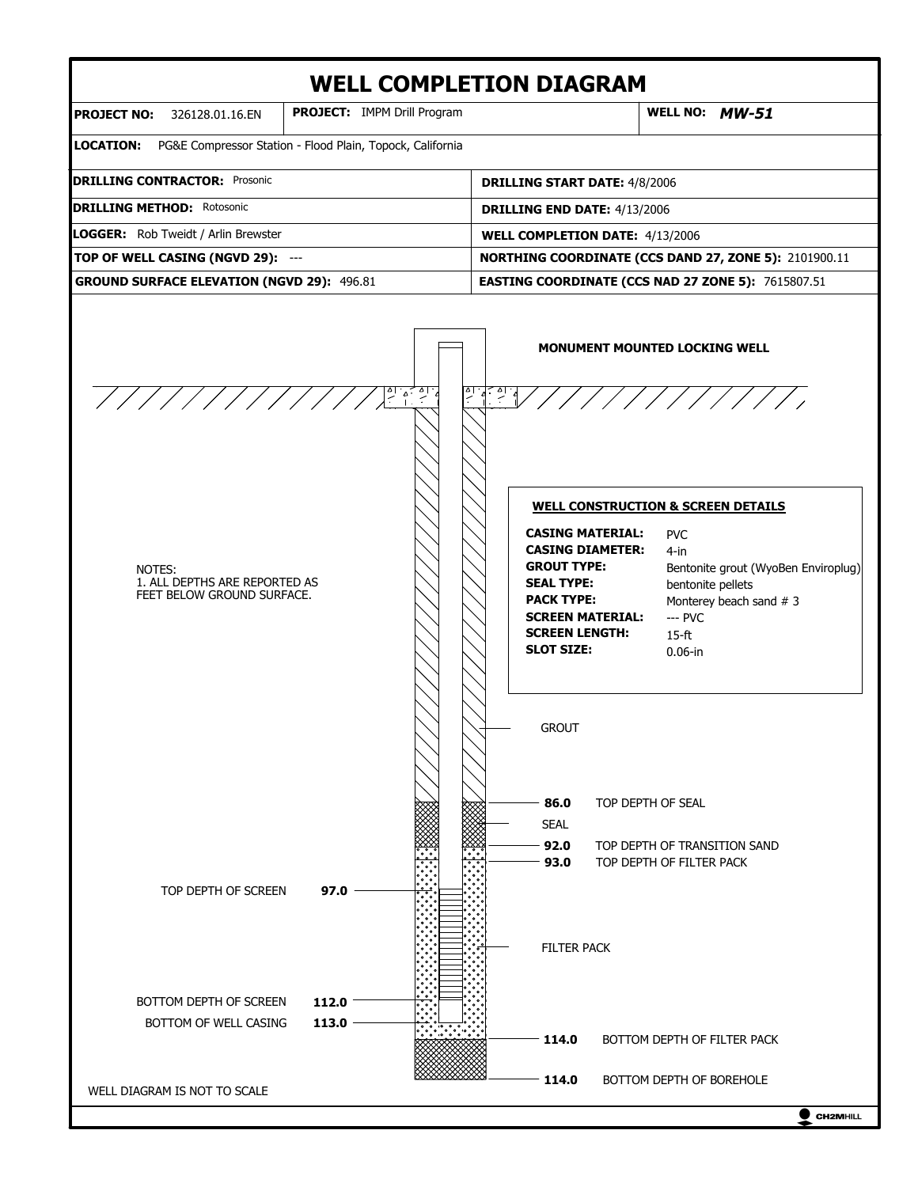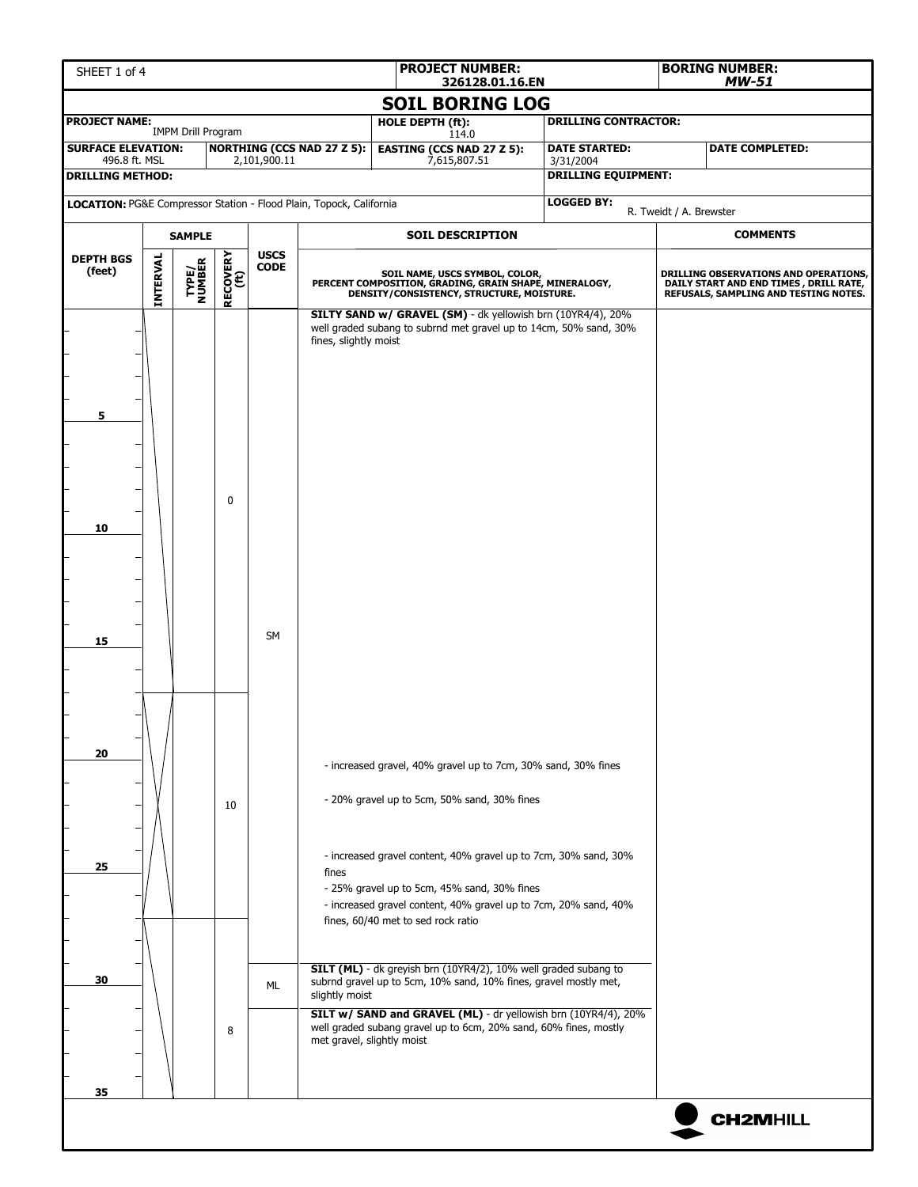| SHEET 1 of 4                                                        |                                                                               |                           |              |                 |                                                                                | <b>PROJECT NUMBER:</b><br>326128.01.16.EN                                                                                                                                                                                                                                                                                                                                                                                                                                                                                                                                                                                                                                                                                                                |                                              |                                   | <b>BORING NUMBER:</b><br><b>MW-51</b>                                                                                    |                        |  |
|---------------------------------------------------------------------|-------------------------------------------------------------------------------|---------------------------|--------------|-----------------|--------------------------------------------------------------------------------|----------------------------------------------------------------------------------------------------------------------------------------------------------------------------------------------------------------------------------------------------------------------------------------------------------------------------------------------------------------------------------------------------------------------------------------------------------------------------------------------------------------------------------------------------------------------------------------------------------------------------------------------------------------------------------------------------------------------------------------------------------|----------------------------------------------|-----------------------------------|--------------------------------------------------------------------------------------------------------------------------|------------------------|--|
|                                                                     |                                                                               |                           |              |                 |                                                                                | <b>SOIL BORING LOG</b>                                                                                                                                                                                                                                                                                                                                                                                                                                                                                                                                                                                                                                                                                                                                   |                                              |                                   |                                                                                                                          |                        |  |
| <b>PROJECT NAME:</b>                                                |                                                                               | <b>IMPM Drill Program</b> |              |                 |                                                                                | <b>HOLE DEPTH (ft):</b>                                                                                                                                                                                                                                                                                                                                                                                                                                                                                                                                                                                                                                                                                                                                  |                                              | <b>DRILLING CONTRACTOR:</b>       |                                                                                                                          |                        |  |
| <b>SURFACE ELEVATION:</b><br>496.8 ft. MSL                          |                                                                               |                           |              | 2,101,900.11    | <b>NORTHING (CCS NAD 27 Z 5):</b>                                              | 114.0<br><b>EASTING (CCS NAD 27 Z 5):</b><br>7,615,807.51                                                                                                                                                                                                                                                                                                                                                                                                                                                                                                                                                                                                                                                                                                |                                              | <b>DATE STARTED:</b><br>3/31/2004 |                                                                                                                          | <b>DATE COMPLETED:</b> |  |
| <b>DRILLING METHOD:</b>                                             |                                                                               |                           |              |                 |                                                                                |                                                                                                                                                                                                                                                                                                                                                                                                                                                                                                                                                                                                                                                                                                                                                          |                                              | <b>DRILLING EQUIPMENT:</b>        |                                                                                                                          |                        |  |
| LOCATION: PG&E Compressor Station - Flood Plain, Topock, California |                                                                               |                           |              |                 |                                                                                |                                                                                                                                                                                                                                                                                                                                                                                                                                                                                                                                                                                                                                                                                                                                                          | <b>LOGGED BY:</b><br>R. Tweidt / A. Brewster |                                   |                                                                                                                          |                        |  |
|                                                                     |                                                                               | <b>SAMPLE</b>             |              |                 |                                                                                | <b>SOIL DESCRIPTION</b>                                                                                                                                                                                                                                                                                                                                                                                                                                                                                                                                                                                                                                                                                                                                  |                                              |                                   |                                                                                                                          | <b>COMMENTS</b>        |  |
| <b>DEPTH BGS</b><br>(feet)                                          | <b>USCS</b><br>RECOVERY<br>(ft)<br>INTERVAL<br>TYPE/<br>NUMBER<br><b>CODE</b> |                           |              |                 |                                                                                | SOIL NAME, USCS SYMBOL, COLOR,<br>PERCENT COMPOSITION, GRADING, GRAIN SHAPE, MINERALOGY, DENSITY/CONSISTENCY, STRUCTURE, MOISTURE.                                                                                                                                                                                                                                                                                                                                                                                                                                                                                                                                                                                                                       |                                              |                                   | DRILLING OBSERVATIONS AND OPERATIONS,<br>DAILY START AND END TIMES, DRILL RATE,<br>REFUSALS, SAMPLING AND TESTING NOTES. |                        |  |
| 5<br>10<br>15<br>20<br>25<br>30                                     |                                                                               |                           | 0<br>10<br>8 | <b>SM</b><br>ML | fines, slightly moist<br>fines<br>slightly moist<br>met gravel, slightly moist | SILTY SAND w/ GRAVEL (SM) - dk yellowish brn (10YR4/4), 20%<br>well graded subang to subrnd met gravel up to 14cm, 50% sand, 30%<br>- increased gravel, 40% gravel up to 7cm, 30% sand, 30% fines<br>- 20% gravel up to 5cm, 50% sand, 30% fines<br>- increased gravel content, 40% gravel up to 7cm, 30% sand, 30%<br>- 25% gravel up to 5cm, 45% sand, 30% fines<br>- increased gravel content, 40% gravel up to 7cm, 20% sand, 40%<br>fines, 60/40 met to sed rock ratio<br>SILT (ML) - dk greyish brn (10YR4/2), 10% well graded subang to<br>subrnd gravel up to 5cm, 10% sand, 10% fines, gravel mostly met,<br>SILT w/ SAND and GRAVEL (ML) - dr yellowish brn (10YR4/4), 20%<br>well graded subang gravel up to 6cm, 20% sand, 60% fines, mostly |                                              |                                   |                                                                                                                          |                        |  |
| 35                                                                  |                                                                               |                           |              |                 |                                                                                |                                                                                                                                                                                                                                                                                                                                                                                                                                                                                                                                                                                                                                                                                                                                                          |                                              |                                   |                                                                                                                          | <b>CH2MHILL</b>        |  |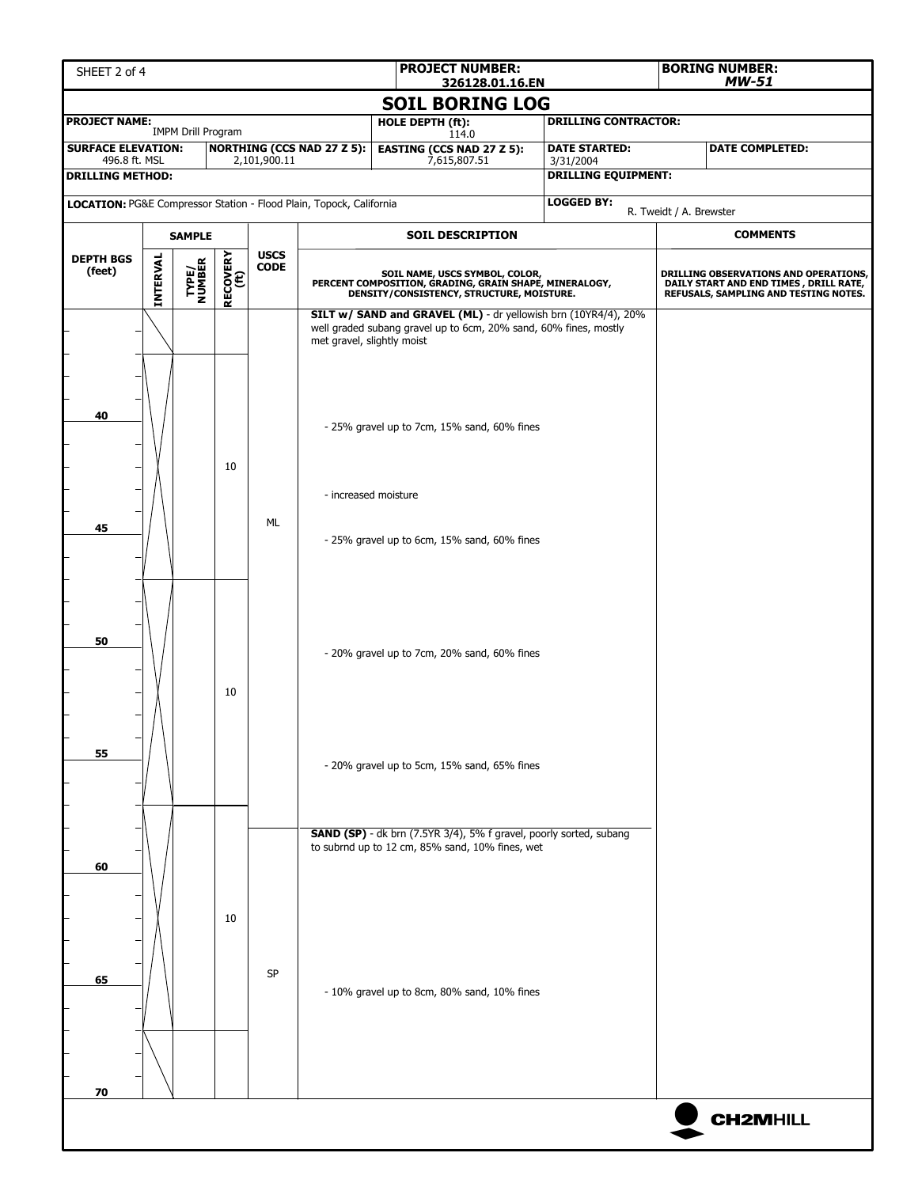| SHEET 2 of 4                                                                                                  |          |                 |                  |             |                                                                     |  | <b>PROJECT NUMBER:</b><br>326128.01.16.EN                                                                                             |                                                 |                                                                                                                                    |                         | <b>BORING NUMBER:</b><br><b>MW-51</b>                                                                                     |  |  |
|---------------------------------------------------------------------------------------------------------------|----------|-----------------|------------------|-------------|---------------------------------------------------------------------|--|---------------------------------------------------------------------------------------------------------------------------------------|-------------------------------------------------|------------------------------------------------------------------------------------------------------------------------------------|-------------------------|---------------------------------------------------------------------------------------------------------------------------|--|--|
| <b>SOIL BORING LOG</b>                                                                                        |          |                 |                  |             |                                                                     |  |                                                                                                                                       |                                                 |                                                                                                                                    |                         |                                                                                                                           |  |  |
| <b>PROJECT NAME:</b><br><b>DRILLING CONTRACTOR:</b><br>HOLE DEPTH (ft):<br><b>IMPM Drill Program</b><br>114.0 |          |                 |                  |             |                                                                     |  |                                                                                                                                       |                                                 |                                                                                                                                    |                         |                                                                                                                           |  |  |
| <b>NORTHING (CCS NAD 27 Z 5):</b><br><b>SURFACE ELEVATION:</b><br>496.8 ft. MSL<br>2,101,900.11               |          |                 |                  |             |                                                                     |  | <b>EASTING (CCS NAD 27 Z 5):</b><br>7,615,807.51                                                                                      |                                                 | <b>DATE STARTED:</b><br>3/31/2004                                                                                                  |                         | <b>DATE COMPLETED:</b>                                                                                                    |  |  |
| <b>DRILLING METHOD:</b>                                                                                       |          |                 |                  |             |                                                                     |  |                                                                                                                                       |                                                 | <b>DRILLING EQUIPMENT:</b>                                                                                                         |                         |                                                                                                                           |  |  |
|                                                                                                               |          |                 |                  |             | LOCATION: PG&E Compressor Station - Flood Plain, Topock, California |  |                                                                                                                                       |                                                 | <b>LOGGED BY:</b>                                                                                                                  | R. Tweidt / A. Brewster |                                                                                                                           |  |  |
|                                                                                                               |          | <b>SAMPLE</b>   |                  |             |                                                                     |  | <b>SOIL DESCRIPTION</b>                                                                                                               |                                                 |                                                                                                                                    |                         | <b>COMMENTS</b>                                                                                                           |  |  |
| <b>USCS</b><br><b>DEPTH BGS</b>                                                                               |          |                 |                  |             |                                                                     |  |                                                                                                                                       |                                                 |                                                                                                                                    |                         |                                                                                                                           |  |  |
| (feet)                                                                                                        | INTERVAL | TYPE/<br>NUMBER | RECOVERY<br>(ft) | <b>CODE</b> |                                                                     |  | SOIL NAME, USCS SYMBOL, COLOR,<br>PERCENT COMPOSITION, GRADING, GRAIN SHAPE, MINERALOGY,<br>DENSITY/CONSISTENCY, STRUCTURE, MOISTURE. |                                                 |                                                                                                                                    |                         | DRILLING OBSERVATIONS AND OPERATIONS,<br>DAILY START AND END TIMES , DRILL RATE,<br>REFUSALS, SAMPLING AND TESTING NOTES. |  |  |
|                                                                                                               |          |                 |                  |             | met gravel, slightly moist                                          |  |                                                                                                                                       |                                                 | SILT w/ SAND and GRAVEL (ML) - dr yellowish brn (10YR4/4), 20%<br>well graded subang gravel up to 6cm, 20% sand, 60% fines, mostly |                         |                                                                                                                           |  |  |
| 40                                                                                                            |          |                 | 10               |             |                                                                     |  |                                                                                                                                       | - 25% gravel up to 7cm, 15% sand, 60% fines     |                                                                                                                                    |                         |                                                                                                                           |  |  |
| 45                                                                                                            |          |                 |                  | ML          | - increased moisture                                                |  |                                                                                                                                       |                                                 |                                                                                                                                    |                         |                                                                                                                           |  |  |
|                                                                                                               |          |                 |                  |             |                                                                     |  |                                                                                                                                       | - 25% gravel up to 6cm, 15% sand, 60% fines     |                                                                                                                                    |                         |                                                                                                                           |  |  |
| 50                                                                                                            |          |                 | 10               |             |                                                                     |  |                                                                                                                                       | - 20% gravel up to 7cm, 20% sand, 60% fines     |                                                                                                                                    |                         |                                                                                                                           |  |  |
| 55                                                                                                            |          |                 |                  |             | - 20% gravel up to 5cm, 15% sand, 65% fines                         |  |                                                                                                                                       |                                                 |                                                                                                                                    |                         |                                                                                                                           |  |  |
| 60                                                                                                            |          |                 |                  |             |                                                                     |  |                                                                                                                                       | to subrnd up to 12 cm, 85% sand, 10% fines, wet | SAND (SP) - dk brn (7.5YR 3/4), 5% f gravel, poorly sorted, subang                                                                 |                         |                                                                                                                           |  |  |
| 65                                                                                                            |          |                 | 10               | <b>SP</b>   | - 10% gravel up to 8cm, 80% sand, 10% fines                         |  |                                                                                                                                       |                                                 |                                                                                                                                    |                         |                                                                                                                           |  |  |
| 70                                                                                                            |          |                 |                  |             |                                                                     |  |                                                                                                                                       |                                                 |                                                                                                                                    |                         |                                                                                                                           |  |  |
|                                                                                                               |          |                 |                  |             |                                                                     |  |                                                                                                                                       |                                                 |                                                                                                                                    |                         | <b>CH2MHILL</b>                                                                                                           |  |  |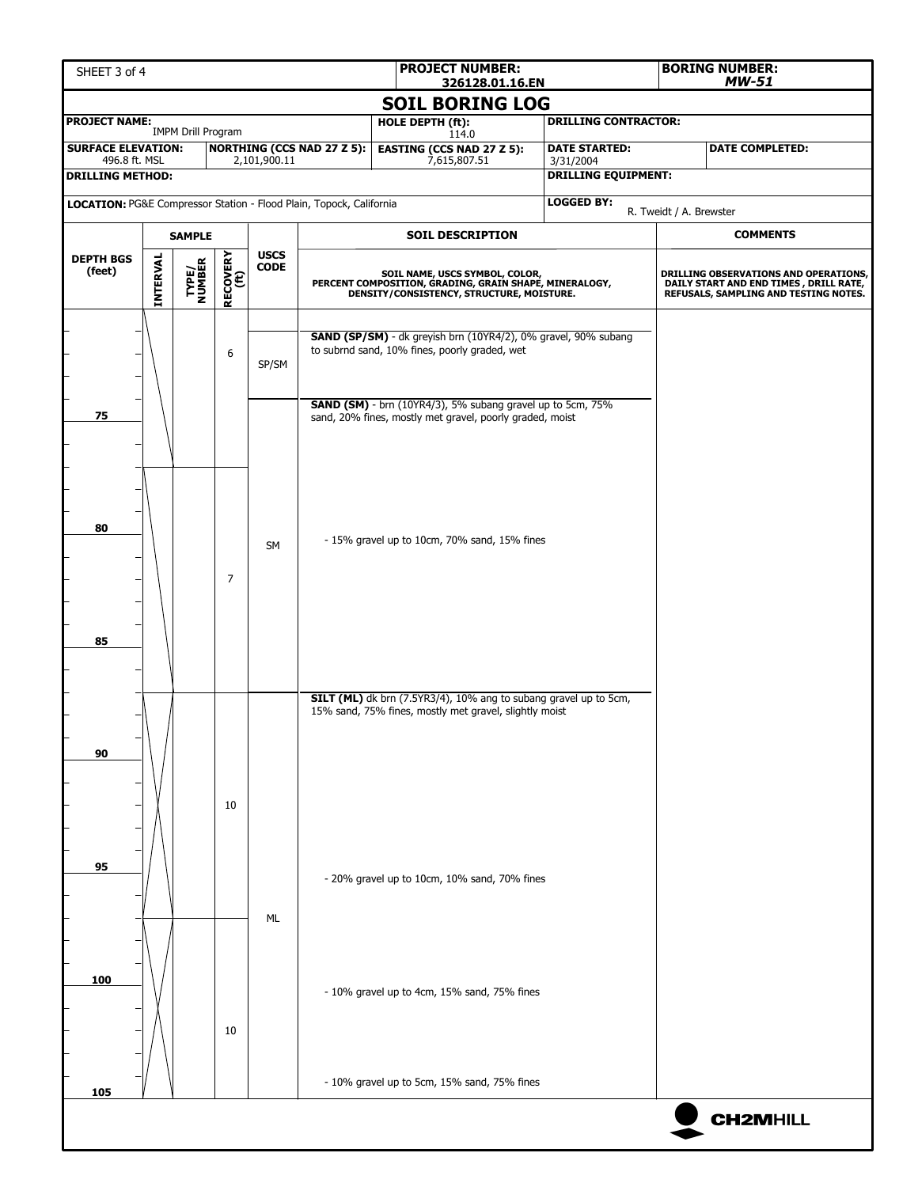| SHEET 3 of 4                                                        |                                                                    |                           |                |              |                                                                                                                                       | <b>PROJECT NUMBER:</b><br>326128.01.16.EN                                                                                  |                                                                |                                                                                                                           |                         | <b>BORING NUMBER:</b><br><b>MW-51</b> |  |  |
|---------------------------------------------------------------------|--------------------------------------------------------------------|---------------------------|----------------|--------------|---------------------------------------------------------------------------------------------------------------------------------------|----------------------------------------------------------------------------------------------------------------------------|----------------------------------------------------------------|---------------------------------------------------------------------------------------------------------------------------|-------------------------|---------------------------------------|--|--|
|                                                                     |                                                                    |                           |                |              |                                                                                                                                       | <b>SOIL BORING LOG</b>                                                                                                     |                                                                |                                                                                                                           |                         |                                       |  |  |
| <b>PROJECT NAME:</b>                                                |                                                                    | <b>IMPM Drill Program</b> |                |              |                                                                                                                                       | HOLE DEPTH (ft):<br>114.0                                                                                                  |                                                                | <b>DRILLING CONTRACTOR:</b>                                                                                               |                         |                                       |  |  |
| <b>SURFACE ELEVATION:</b><br>496.8 ft. MSL                          |                                                                    |                           |                | 2,101,900.11 | <b>NORTHING (CCS NAD 27 Z 5):</b>                                                                                                     | <b>EASTING (CCS NAD 27 Z 5):</b><br>7,615,807.51                                                                           |                                                                | <b>DATE STARTED:</b>                                                                                                      |                         | <b>DATE COMPLETED:</b>                |  |  |
| <b>DRILLING METHOD:</b>                                             |                                                                    |                           |                |              |                                                                                                                                       |                                                                                                                            |                                                                | 3/31/2004<br><b>DRILLING EQUIPMENT:</b>                                                                                   |                         |                                       |  |  |
| LOCATION: PG&E Compressor Station - Flood Plain, Topock, California |                                                                    |                           |                |              |                                                                                                                                       |                                                                                                                            |                                                                | <b>LOGGED BY:</b>                                                                                                         |                         |                                       |  |  |
|                                                                     |                                                                    |                           |                |              |                                                                                                                                       | <b>SOIL DESCRIPTION</b>                                                                                                    |                                                                |                                                                                                                           | R. Tweidt / A. Brewster | <b>COMMENTS</b>                       |  |  |
| <b>DEPTH BGS</b>                                                    | <b>SAMPLE</b>                                                      |                           |                | <b>USCS</b>  |                                                                                                                                       |                                                                                                                            |                                                                |                                                                                                                           |                         |                                       |  |  |
| (feet)                                                              | RECOVERY<br>(ft)<br>INTERVAL<br>TYPE/<br>NUMBER<br>$\mathsf{CODE}$ |                           |                |              | SOIL NAME, USCS SYMBOL, COLOR,<br>PERCENT COMPOSITION, GRADING, GRAIN SHAPE, MINERALOGY,<br>DENSITY/CONSISTENCY, STRUCTURE, MOISTURE. |                                                                                                                            |                                                                | DRILLING OBSERVATIONS AND OPERATIONS,<br>DAILY START AND END TIMES , DRILL RATE,<br>REFUSALS, SAMPLING AND TESTING NOTES. |                         |                                       |  |  |
|                                                                     |                                                                    |                           | 6              |              |                                                                                                                                       | to subrnd sand, 10% fines, poorly graded, wet                                                                              | SAND (SP/SM) - dk greyish brn (10YR4/2), 0% gravel, 90% subang |                                                                                                                           |                         |                                       |  |  |
|                                                                     |                                                                    |                           |                | SP/SM        |                                                                                                                                       |                                                                                                                            |                                                                |                                                                                                                           |                         |                                       |  |  |
| 75                                                                  |                                                                    |                           |                |              |                                                                                                                                       | SAND (SM) - brn (10YR4/3), 5% subang gravel up to 5cm, 75%<br>sand, 20% fines, mostly met gravel, poorly graded, moist     |                                                                |                                                                                                                           |                         |                                       |  |  |
| 80<br>85                                                            |                                                                    |                           | $\overline{7}$ | <b>SM</b>    |                                                                                                                                       | - 15% gravel up to 10cm, 70% sand, 15% fines                                                                               |                                                                |                                                                                                                           |                         |                                       |  |  |
| 90                                                                  |                                                                    |                           | 10             |              |                                                                                                                                       | SILT (ML) dk brn (7.5YR3/4), 10% ang to subang gravel up to 5cm,<br>15% sand, 75% fines, mostly met gravel, slightly moist |                                                                |                                                                                                                           |                         |                                       |  |  |
| 95                                                                  |                                                                    |                           |                | ML           |                                                                                                                                       | - 20% gravel up to 10cm, 10% sand, 70% fines                                                                               |                                                                |                                                                                                                           |                         |                                       |  |  |
| 100                                                                 |                                                                    |                           | 10             |              |                                                                                                                                       | - 10% gravel up to 4cm, 15% sand, 75% fines                                                                                |                                                                |                                                                                                                           |                         |                                       |  |  |
| 105                                                                 |                                                                    |                           |                |              |                                                                                                                                       | - 10% gravel up to 5cm, 15% sand, 75% fines                                                                                |                                                                |                                                                                                                           |                         |                                       |  |  |
|                                                                     |                                                                    |                           |                |              |                                                                                                                                       |                                                                                                                            |                                                                |                                                                                                                           |                         | <b>CH2MHILL</b>                       |  |  |